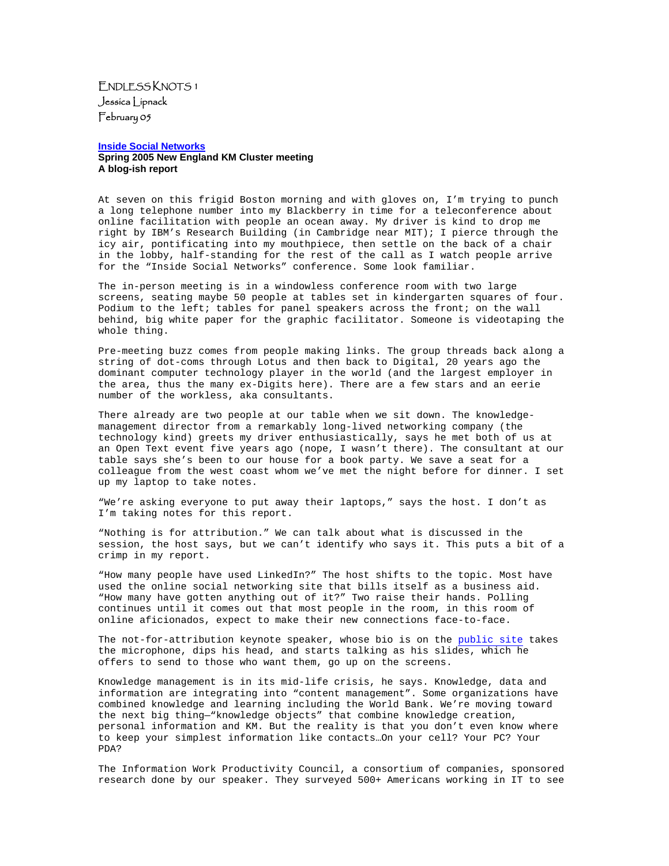ENDLESS KNOTS 1 Jessica Lipnack February 05

**[Inside Social Networks](http://www.kmcluster.com/bos/BOS_Spring_2005.htm) Spring 2005 New England KM Cluster meeting A blog-ish report** 

At seven on this frigid Boston morning and with gloves on, I'm trying to punch a long telephone number into my Blackberry in time for a teleconference about online facilitation with people an ocean away. My driver is kind to drop me right by IBM's Research Building (in Cambridge near MIT); I pierce through the icy air, pontificating into my mouthpiece, then settle on the back of a chair in the lobby, half-standing for the rest of the call as I watch people arrive for the "Inside Social Networks" conference. Some look familiar.

The in-person meeting is in a windowless conference room with two large screens, seating maybe 50 people at tables set in kindergarten squares of four. Podium to the left; tables for panel speakers across the front; on the wall behind, big white paper for the graphic facilitator. Someone is videotaping the whole thing.

Pre-meeting buzz comes from people making links. The group threads back along a string of dot-coms through Lotus and then back to Digital, 20 years ago the dominant computer technology player in the world (and the largest employer in the area, thus the many ex-Digits here). There are a few stars and an eerie number of the workless, aka consultants.

There already are two people at our table when we sit down. The knowledgemanagement director from a remarkably long-lived networking company (the technology kind) greets my driver enthusiastically, says he met both of us at an Open Text event five years ago (nope, I wasn't there). The consultant at our table says she's been to our house for a book party. We save a seat for a colleague from the west coast whom we've met the night before for dinner. I set up my laptop to take notes.

"We're asking everyone to put away their laptops," says the host. I don't as I'm taking notes for this report.

"Nothing is for attribution." We can talk about what is discussed in the session, the host says, but we can't identify who says it. This puts a bit of a crimp in my report.

"How many people have used LinkedIn?" The host shifts to the topic. Most have used the online social networking site that bills itself as a business aid. "How many have gotten anything out of it?" Two raise their hands. Polling continues until it comes out that most people in the room, in this room of online aficionados, expect to make their new connections face-to-face.

The not-for-attribution keynote speaker, whose bio is on the public site takes the microphone, dips his head, and starts talking as his slides, which he offers to send to those who want them, go up on the screens.

Knowledge management is in its mid-life crisis, he says. Knowledge, data and information are integrating into "content management". Some organizations have combined knowledge and learning including the World Bank. We're moving toward the next big thing—"knowledge objects" that combine knowledge creation, personal information and KM. But the reality is that you don't even know where to keep your simplest information like contacts…On your cell? Your PC? Your PDA?

The Information Work Productivity Council, a consortium of companies, sponsored research done by our speaker. They surveyed 500+ Americans working in IT to see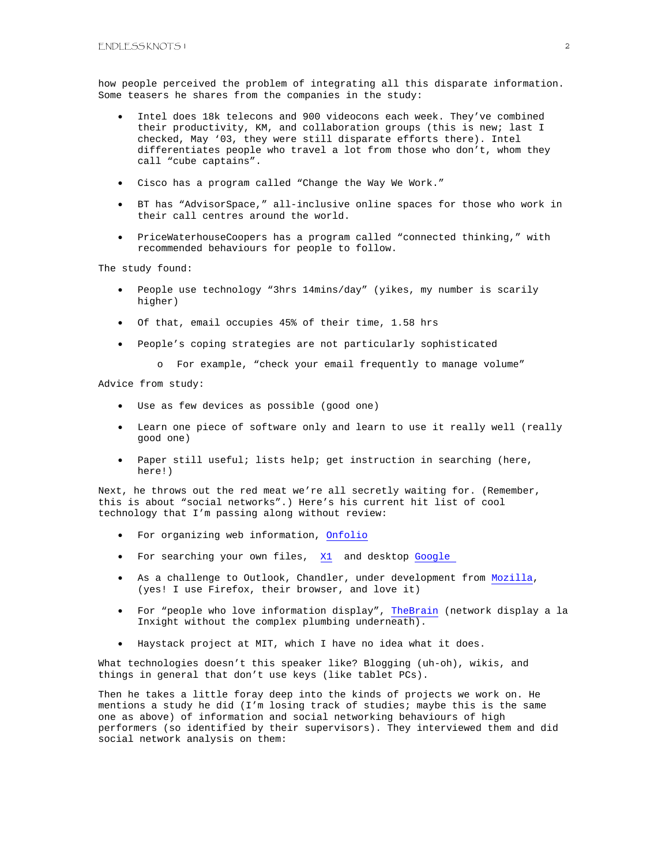how people perceived the problem of integrating all this disparate information. Some teasers he shares from the companies in the study:

- Intel does 18k telecons and 900 videocons each week. They've combined their productivity, KM, and collaboration groups (this is new; last I checked, May '03, they were still disparate efforts there). Intel differentiates people who travel a lot from those who don't, whom they call "cube captains".
- Cisco has a program called "Change the Way We Work."
- BT has "AdvisorSpace," all-inclusive online spaces for those who work in their call centres around the world.
- PriceWaterhouseCoopers has a program called "connected thinking," with recommended behaviours for people to follow.

The study found:

- People use technology "3hrs 14mins/day" (yikes, my number is scarily higher)
- Of that, email occupies 45% of their time, 1.58 hrs
- People's coping strategies are not particularly sophisticated
	- o For example, "check your email frequently to manage volume"

Advice from study:

- Use as few devices as possible (good one)
- Learn one piece of software only and learn to use it really well (really good one)
- Paper still useful; lists help; get instruction in searching (here, here!)

Next, he throws out the red meat we're all secretly waiting for. (Remember, this is about "social networks".) Here's his current hit list of cool technology that I'm passing along without review:

- For organizing web information, [Onfolio](http://www.onfolio.com/)
- For searching your own files, [X1](http://www.x1.com/) and desktop [Google](http://desktop.google.com/)
- As a challenge to Outlook, Chandler, under development from [Mozilla,](http://www.mozilla.org/) (yes! I use Firefox, their browser, and love it)
- For "people who love information display", [TheBrain](http://www.thebrain.com/) (network display a la Inxight without the complex plumbing underneath).
- Haystack project at MIT, which I have no idea what it does.

What technologies doesn't this speaker like? Blogging (uh-oh), wikis, and things in general that don't use keys (like tablet PCs).

Then he takes a little foray deep into the kinds of projects we work on. He mentions a study he did (I'm losing track of studies; maybe this is the same one as above) of information and social networking behaviours of high performers (so identified by their supervisors). They interviewed them and did social network analysis on them: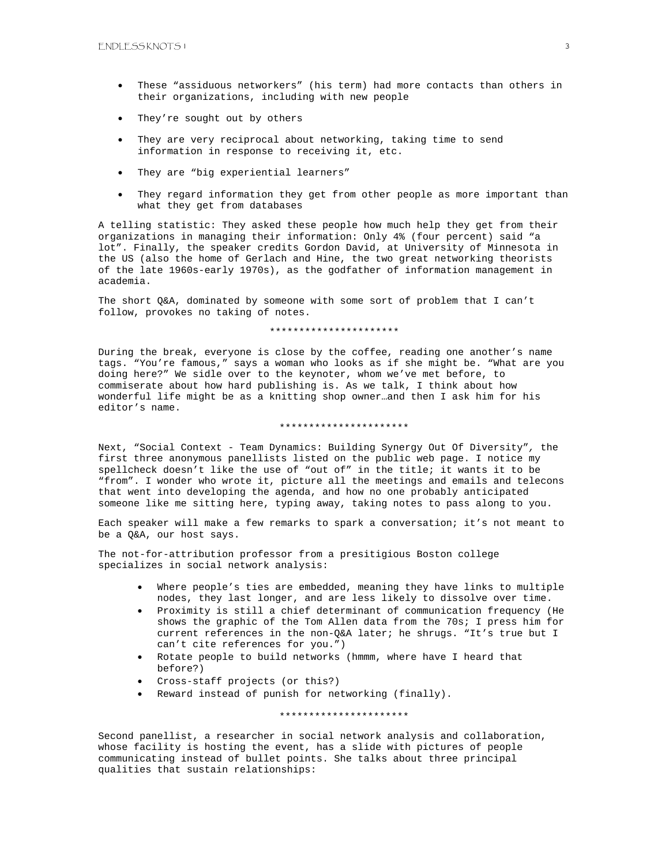- These "assiduous networkers" (his term) had more contacts than others in their organizations, including with new people
- They're sought out by others
- They are very reciprocal about networking, taking time to send information in response to receiving it, etc.
- They are "big experiential learners"
- They regard information they get from other people as more important than what they get from databases

A telling statistic: They asked these people how much help they get from their organizations in managing their information: Only 4% (four percent) said "a lot". Finally, the speaker credits Gordon David, at University of Minnesota in the US (also the home of Gerlach and Hine, the two great networking theorists of the late 1960s-early 1970s), as the godfather of information management in academia.

The short Q&A, dominated by someone with some sort of problem that I can't follow, provokes no taking of notes.

## \*\*\*\*\*\*\*\*\*\*\*\*\*\*\*\*\*\*\*\*\*\*

During the break, everyone is close by the coffee, reading one another's name tags. "You're famous," says a woman who looks as if she might be. "What are you doing here?" We sidle over to the keynoter, whom we've met before, to commiserate about how hard publishing is. As we talk, I think about how wonderful life might be as a knitting shop owner…and then I ask him for his editor's name.

## \*\*\*\*\*\*\*\*\*\*\*\*\*\*\*\*\*\*\*\*\*\*

Next, "Social Context - Team Dynamics: Building Synergy Out Of Diversity"*,* the first three anonymous panellists listed on the public web page. I notice my spellcheck doesn't like the use of "out of" in the title; it wants it to be "from". I wonder who wrote it, picture all the meetings and emails and telecons that went into developing the agenda, and how no one probably anticipated someone like me sitting here, typing away, taking notes to pass along to you.

Each speaker will make a few remarks to spark a conversation; it's not meant to be a Q&A, our host says.

The not-for-attribution professor from a presitigious Boston college specializes in social network analysis:

- Where people's ties are embedded, meaning they have links to multiple nodes, they last longer, and are less likely to dissolve over time.
- Proximity is still a chief determinant of communication frequency (He shows the graphic of the Tom Allen data from the 70s; I press him for current references in the non-Q&A later; he shrugs. "It's true but I can't cite references for you.")
- Rotate people to build networks (hmmm, where have I heard that before?)
- Cross-staff projects (or this?)
- Reward instead of punish for networking (finally).

## \*\*\*\*\*\*\*\*\*\*\*\*\*\*\*\*\*\*\*\*\*\*

Second panellist, a researcher in social network analysis and collaboration, whose facility is hosting the event, has a slide with pictures of people communicating instead of bullet points. She talks about three principal qualities that sustain relationships: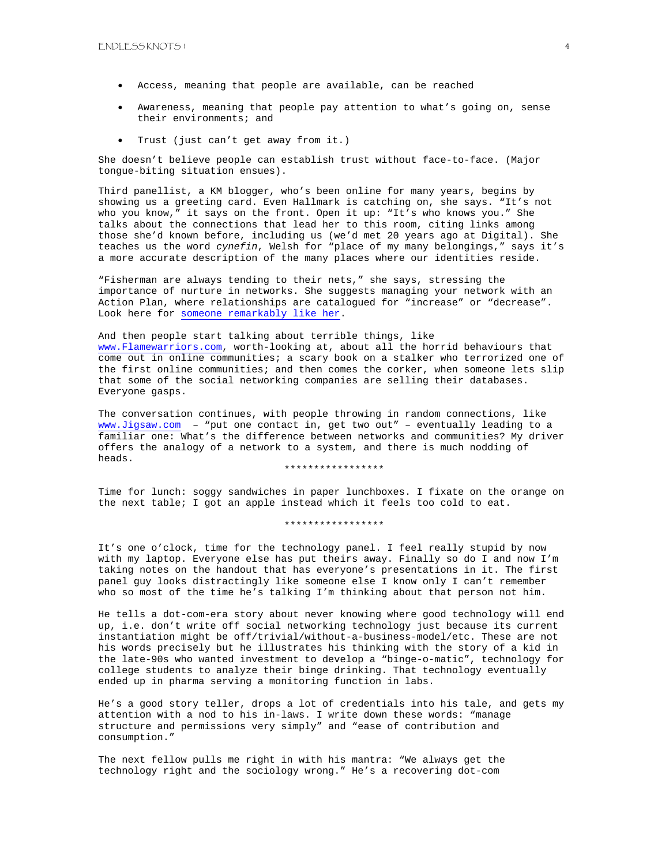- Access, meaning that people are available, can be reached
- Awareness, meaning that people pay attention to what's going on, sense their environments; and
- Trust (just can't get away from it.)

She doesn't believe people can establish trust without face-to-face. (Major tongue-biting situation ensues).

Third panellist, a KM blogger, who's been online for many years, begins by showing us a greeting card. Even Hallmark is catching on, she says. "It's not who you know," it says on the front. Open it up: "It's who knows you." She talks about the connections that lead her to this room, citing links among those she'd known before, including us (we'd met 20 years ago at Digital). She teaches us the word *cynefin*, Welsh for "place of my many belongings," says it's a more accurate description of the many places where our identities reside.

"Fisherman are always tending to their nets," she says, stressing the importance of nurture in networks. She suggests managing your network with an Action Plan, where relationships are catalogued for "increase" or "decrease". Look here for [someone remarkably like her](http://www.byeday.net/weblog/networkblog.html).

And then people start talking about terrible things, like [www.Flamewarriors.com](http://www.flamewarriors.com/), worth-looking at, about all the horrid behaviours that come out in online communities; a scary book on a stalker who terrorized one of the first online communities; and then comes the corker, when someone lets slip that some of the social networking companies are selling their databases. Everyone gasps.

The conversation continues, with people throwing in random connections, like [www.Jigsaw.com](http://www.jigsaw.com/) – "put one contact in, get two out" – eventually leading to a familiar one: What's the difference between networks and communities? My driver offers the analogy of a network to a system, and there is much nodding of heads.

\*\*\*\*\*\*\*\*\*\*\*\*\*\*\*\*\*

Time for lunch: soggy sandwiches in paper lunchboxes. I fixate on the orange on the next table; I got an apple instead which it feels too cold to eat.

\*\*\*\*\*\*\*\*\*\*\*\*\*\*\*\*\*

It's one o'clock, time for the technology panel. I feel really stupid by now with my laptop. Everyone else has put theirs away. Finally so do I and now I'm taking notes on the handout that has everyone's presentations in it. The first panel guy looks distractingly like someone else I know only I can't remember who so most of the time he's talking I'm thinking about that person not him.

He tells a dot-com-era story about never knowing where good technology will end up, i.e. don't write off social networking technology just because its current instantiation might be off/trivial/without-a-business-model/etc. These are not his words precisely but he illustrates his thinking with the story of a kid in the late-90s who wanted investment to develop a "binge-o-matic", technology for college students to analyze their binge drinking. That technology eventually ended up in pharma serving a monitoring function in labs.

He's a good story teller, drops a lot of credentials into his tale, and gets my attention with a nod to his in-laws. I write down these words: "manage structure and permissions very simply" and "ease of contribution and consumption."

The next fellow pulls me right in with his mantra: "We always get the technology right and the sociology wrong." He's a recovering dot-com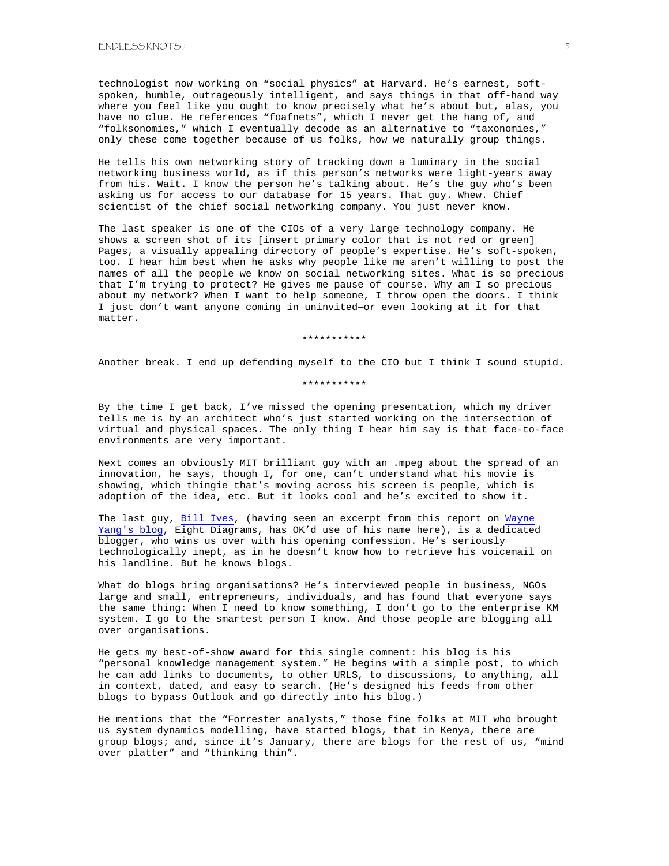ENDLESS KNOTS 1 5

technologist now working on "social physics" at Harvard. He's earnest, softspoken, humble, outrageously intelligent, and says things in that off-hand way where you feel like you ought to know precisely what he's about but, alas, you have no clue. He references "foafnets", which I never get the hang of, and "folksonomies," which I eventually decode as an alternative to "taxonomies," only these come together because of us folks, how we naturally group things.

He tells his own networking story of tracking down a luminary in the social networking business world, as if this person's networks were light-years away from his. Wait. I know the person he's talking about. He's the guy who's been asking us for access to our database for 15 years. That guy. Whew. Chief scientist of the chief social networking company. You just never know.

The last speaker is one of the CIOs of a very large technology company. He shows a screen shot of its [insert primary color that is not red or green] Pages, a visually appealing directory of people's expertise. He's soft-spoken, too. I hear him best when he asks why people like me aren't willing to post the names of all the people we know on social networking sites. What is so precious that I'm trying to protect? He gives me pause of course. Why am I so precious about my network? When I want to help someone, I throw open the doors. I think I just don't want anyone coming in uninvited—or even looking at it for that matter.

\*\*\*\*\*\*\*\*\*\*\*

Another break. I end up defending myself to the CIO but I think I sound stupid.

\*\*\*\*\*\*\*\*\*\*\*

By the time I get back, I've missed the opening presentation, which my driver tells me is by an architect who's just started working on the intersection of virtual and physical spaces. The only thing I hear him say is that face-to-face environments are very important.

Next comes an obviously MIT brilliant guy with an .mpeg about the spread of an innovation, he says, though I, for one, can't understand what his movie is showing, which thingie that's moving across his screen is people, which is adoption of the idea, etc. But it looks cool and he's excited to show it.

The last guy, [Bill Ives](http://billives.typepad.com/portals_and_km/), (having seen an excerpt from this report on [Wayne](http://eightdiagrams.typepad.com/eight_diagrams/)  [Yang's blog](http://eightdiagrams.typepad.com/eight_diagrams/), Eight Diagrams, has OK'd use of his name here), is a dedicated blogger, who wins us over with his opening confession. He's seriously technologically inept, as in he doesn't know how to retrieve his voicemail on his landline. But he knows blogs.

What do blogs bring organisations? He's interviewed people in business, NGOs large and small, entrepreneurs, individuals, and has found that everyone says the same thing: When I need to know something, I don't go to the enterprise KM system. I go to the smartest person I know. And those people are blogging all over organisations.

He gets my best-of-show award for this single comment: his blog is his "personal knowledge management system." He begins with a simple post, to which he can add links to documents, to other URLS, to discussions, to anything, all in context, dated, and easy to search. (He's designed his feeds from other blogs to bypass Outlook and go directly into his blog.)

He mentions that the "Forrester analysts," those fine folks at MIT who brought us system dynamics modelling, have started blogs, that in Kenya, there are group blogs; and, since it's January, there are blogs for the rest of us, "mind over platter" and "thinking thin".